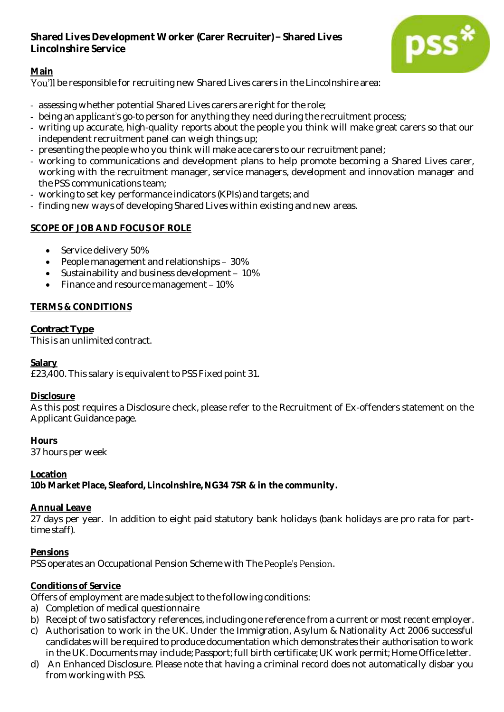## **Shared Lives Development Worker (Carer Recruiter) Shared Lives Lincolnshire Service**



# **Main**

You'll be responsible for recruiting new Shared Lives carers in the Lincolnshire area:

- assessing whether potential Shared Lives carers are right for the role;
- being an applicant's go-to person for anything they need during the recruitment process;
- writing up accurate, high-quality reports about the people you think will make great carers so that our independent recruitment panel can weigh things up;
- presenting the people who you think will make ace carers to our recruitment panel;
- working to communications and development plans to help promote becoming a Shared Lives carer, working with the recruitment manager, service managers, development and innovation manager and the PSS communications team;
- working to set key performance indicators (KPIs) and targets; and
- finding new ways of developing Shared Lives within existing and new areas.

## **SCOPE OF JOB AND FOCUS OF ROLE**

- Service delivery 50%
- People management and relationships 30%
- $\bullet$  Sustainability and business development 10%
- Finance and resource management 10%

## **TERMS & CONDITIONS**

## *Contract Type*

This is an unlimited contract.

## **Salary**

£23,400. This salary is equivalent to PSS Fixed point 31.

## **Disclosure**

As this post requires a Disclosure check, please refer to the Recruitment of Ex-offenders statement on the Applicant Guidance page.

**Hours**

37 hours per week

## **Location**

**10b Market Place, Sleaford, Lincolnshire, NG34 7SR & in the community.**

## **Annual Leave**

27 *days* per year. In addition to eight paid statutory bank holidays (bank holidays are pro rata for parttime staff).

## **Pensions**

PSS operates an Occupational Pension Scheme with The People's Pension.

## **Conditions of Service**

Offers of employment are made subject to the following conditions:

- a) Completion of medical questionnaire
- b) Receipt of two satisfactory references, including one reference from a current or most recent employer.
- c) Authorisation to work in the UK. Under the Immigration, Asylum & Nationality Act 2006 successful candidates will be required to produce documentation which demonstrates their authorisation to work in the UK. Documents may include; Passport; full birth certificate; UK work permit; Home Office letter.
- d) An Enhanced Disclosure. Please note that having a criminal record does not automatically disbar you from working with PSS.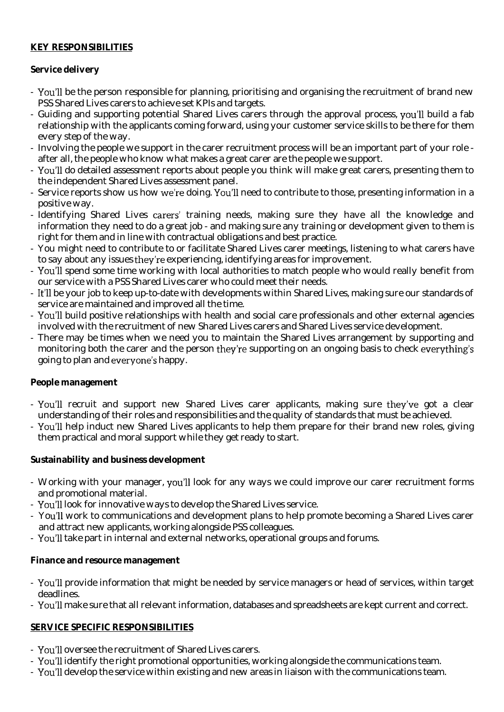#### **KEY RESPONSIBILITIES**

## **Service delivery**

- You'll be the person responsible for planning, prioritising and organising the recruitment of brand new PSS Shared Lives carers to achieve set KPIs and targets.
- Guiding and supporting potential Shared Lives carers through the approval process, you'll build a fab relationship with the applicants coming forward, using your customer service skills to be there for them every step of the way.
- Involving the people we support in the carer recruitment process will be an important part of your role after all, the people who know what makes a great carer are the people we support.
- You'll do detailed assessment reports about people you think will make great carers, presenting them to the independent Shared Lives assessment panel.
- Service reports show us how we're doing. You'll need to contribute to those, presenting information in a positive way.
- Identifying Shared Lives carers' training needs, making sure they have all the knowledge and information they need to do a great job - and making sure any training or development given to them is right for them and in line with contractual obligations and best practice.
- You might need to contribute to or facilitate Shared Lives carer meetings, listening to what carers have to say about any issues they're experiencing, identifying areas for improvement.
- You'll spend some time working with local authorities to match people who would really benefit from our service with a PSS Shared Lives carer who could meet their needs.
- It'll be your job to keep up-to-date with developments within Shared Lives, making sure our standards of service are maintained and improved all the time.
- You'll build positive relationships with health and social care professionals and other external agencies involved with the recruitment of new Shared Lives carers and Shared Lives service development.
- There may be times when we need you to maintain the Shared Lives arrangement by supporting and monitoring both the carer and the person they're supporting on an ongoing basis to check everything's going to plan and everyone's happy.

#### **People management**

- You'll recruit and support new Shared Lives carer applicants, making sure they've got a clear understanding of their roles and responsibilities and the quality of standards that must be achieved.
- You'll help induct new Shared Lives applicants to help them prepare for their brand new roles, giving them practical and moral support while they get ready to start.

**Sustainability and business development**

- Working with your manager, you'll look for any ways we could improve our carer recruitment forms and promotional material.
- You'll look for innovative ways to develop the Shared Lives service.
- You'll work to communications and development plans to help promote becoming a Shared Lives carer and attract new applicants, working alongside PSS colleagues.
- You'll take part in internal and external networks, operational groups and forums.

#### **Finance and resource management**

- You'll provide information that might be needed by service managers or head of services, within target deadlines.
- You'll make sure that all relevant information, databases and spreadsheets are kept current and correct.

## **SERVICE SPECIFIC RESPONSIBILITIES**

- You'll oversee the recruitment of Shared Lives carers.
- You'll identify the right promotional opportunities, working alongside the communications team.
- You'll develop the service within existing and new areas in liaison with the communications team.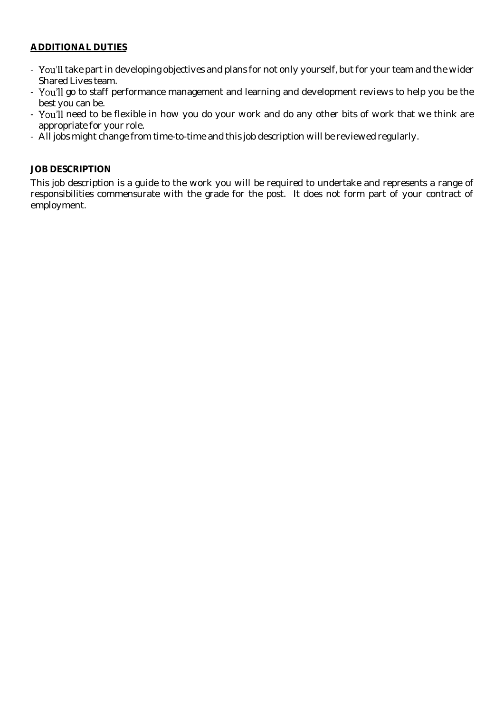#### **ADDITIONAL DUTIES**

- You'll take part in developing objectives and plans for not only yourself, but for your team and the wider Shared Lives team.
- You'll go to staff performance management and learning and development reviews to help you be the best you can be.
- You'll need to be flexible in how you do your work and do any other bits of work that we think are appropriate for your role.
- All jobs might change from time-to-time and this job description will be reviewed regularly.

#### **JOB DESCRIPTION**

This job description is a guide to the work you will be required to undertake and represents a range of responsibilities commensurate with the grade for the post. It does not form part of your contract of employment.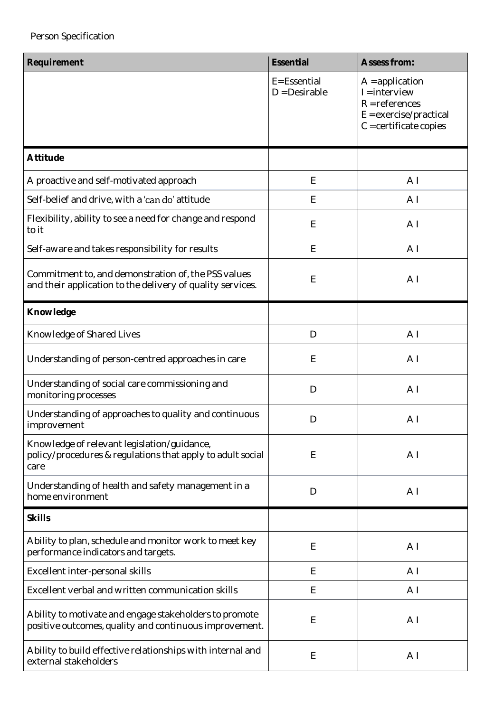| Requirement                                                                                                       | Essential                       | Assess from:                                                                                                     |
|-------------------------------------------------------------------------------------------------------------------|---------------------------------|------------------------------------------------------------------------------------------------------------------|
|                                                                                                                   | E= Essential<br>$D = Desirable$ | $A =$ application<br>$l =$ interview<br>$R = reference$<br>$E =$ exercise/practical<br>$C = certificance copies$ |
| Attitude                                                                                                          |                                 |                                                                                                                  |
| A proactive and self-motivated approach                                                                           | E                               | A <sub>1</sub>                                                                                                   |
| Self-belief and drive, with a 'can do' attitude                                                                   | Ε                               | A <sub>1</sub>                                                                                                   |
| Flexibility, ability to see a need for change and respond<br>to it                                                | $\mathsf E$                     | A <sub>1</sub>                                                                                                   |
| Self-aware and takes responsibility for results                                                                   | $\mathsf E$                     | A <sub>1</sub>                                                                                                   |
| Commitment to, and demonstration of, the PSS values<br>and their application to the delivery of quality services. | $\mathsf E$                     | A <sub>1</sub>                                                                                                   |
| Knowledge                                                                                                         |                                 |                                                                                                                  |
| Knowledge of Shared Lives                                                                                         | $\mathsf{D}$                    | A <sub>1</sub>                                                                                                   |
| Understanding of person-centred approaches in care                                                                | E                               | A <sub>1</sub>                                                                                                   |
| Understanding of social care commissioning and<br>monitoring processes                                            | D                               | A <sub>1</sub>                                                                                                   |
| Understanding of approaches to quality and continuous<br>improvement                                              | D                               | A <sub>1</sub>                                                                                                   |
| Knowledge of relevant legislation/guidance,<br>policy/procedures & regulations that apply to adult social<br>care | E                               | A <sub>1</sub>                                                                                                   |
| Understanding of health and safety management in a<br>home environment                                            | D                               | A <sub>1</sub>                                                                                                   |
| <b>Skills</b>                                                                                                     |                                 |                                                                                                                  |
| Ability to plan, schedule and monitor work to meet key<br>performance indicators and targets.                     | $\mathsf E$                     | A <sub>1</sub>                                                                                                   |
| Excellent inter-personal skills                                                                                   | Ε                               | A <sub>1</sub>                                                                                                   |
| Excellent verbal and written communication skills                                                                 | Ε                               | A <sub>1</sub>                                                                                                   |
| Ability to motivate and engage stakeholders to promote<br>positive outcomes, quality and continuous improvement.  | E                               | A <sub>1</sub>                                                                                                   |
| Ability to build effective relationships with internal and<br>external stakeholders                               | E                               | A <sub>1</sub>                                                                                                   |